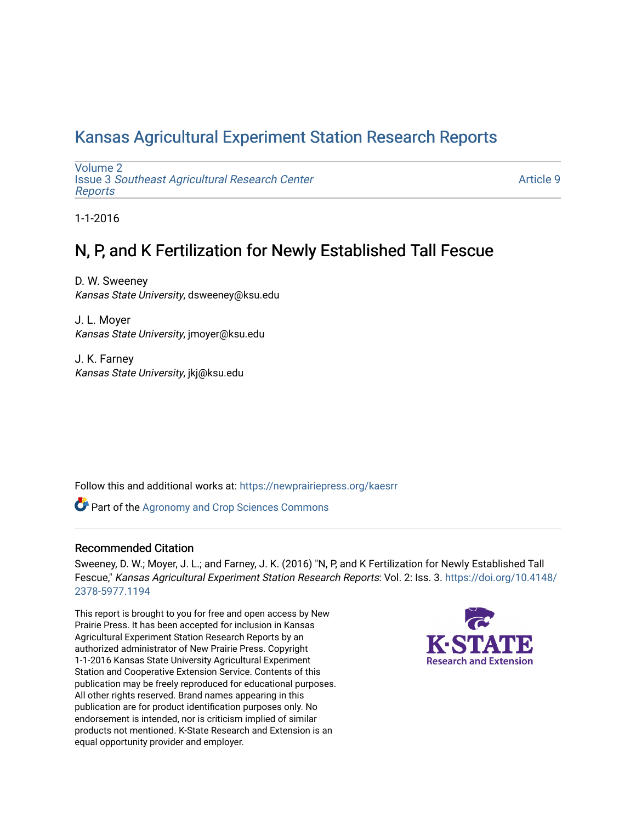# [Kansas Agricultural Experiment Station Research Reports](https://newprairiepress.org/kaesrr)

[Volume 2](https://newprairiepress.org/kaesrr/vol2) Issue 3 [Southeast Agricultural Research Center](https://newprairiepress.org/kaesrr/vol2/iss3) [Reports](https://newprairiepress.org/kaesrr/vol2/iss3)

[Article 9](https://newprairiepress.org/kaesrr/vol2/iss3/9) 

1-1-2016

# N, P, and K Fertilization for Newly Established Tall Fescue

D. W. Sweeney Kansas State University, dsweeney@ksu.edu

J. L. Moyer Kansas State University, jmoyer@ksu.edu

J. K. Farney Kansas State University, jkj@ksu.edu

Follow this and additional works at: [https://newprairiepress.org/kaesrr](https://newprairiepress.org/kaesrr?utm_source=newprairiepress.org%2Fkaesrr%2Fvol2%2Fiss3%2F9&utm_medium=PDF&utm_campaign=PDFCoverPages) 

**Part of the Agronomy and Crop Sciences Commons** 

#### Recommended Citation

Sweeney, D. W.; Moyer, J. L.; and Farney, J. K. (2016) "N, P, and K Fertilization for Newly Established Tall Fescue," Kansas Agricultural Experiment Station Research Reports: Vol. 2: Iss. 3. [https://doi.org/10.4148/](https://doi.org/10.4148/2378-5977.1194) [2378-5977.1194](https://doi.org/10.4148/2378-5977.1194) 

This report is brought to you for free and open access by New Prairie Press. It has been accepted for inclusion in Kansas Agricultural Experiment Station Research Reports by an authorized administrator of New Prairie Press. Copyright 1-1-2016 Kansas State University Agricultural Experiment Station and Cooperative Extension Service. Contents of this publication may be freely reproduced for educational purposes. All other rights reserved. Brand names appearing in this publication are for product identification purposes only. No endorsement is intended, nor is criticism implied of similar products not mentioned. K-State Research and Extension is an equal opportunity provider and employer.

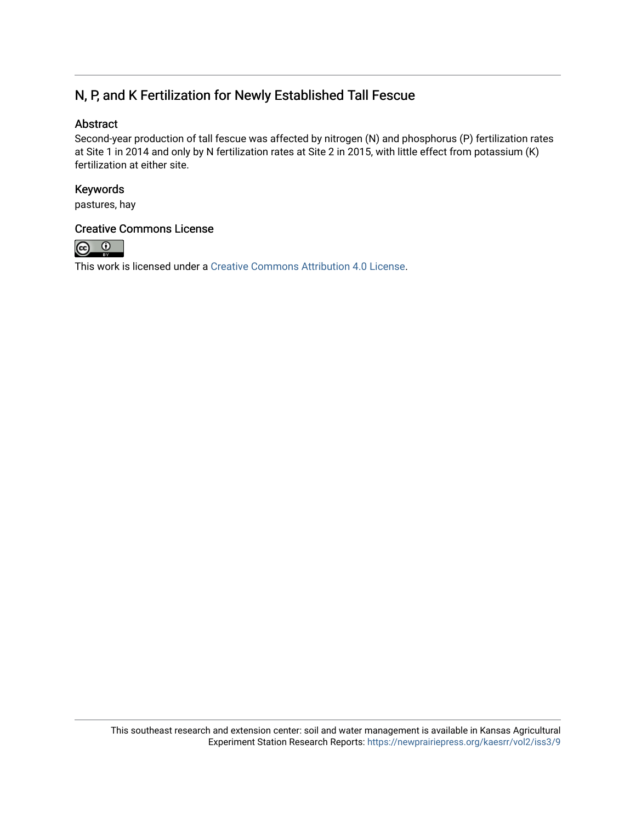## N, P, and K Fertilization for Newly Established Tall Fescue

#### Abstract

Second-year production of tall fescue was affected by nitrogen (N) and phosphorus (P) fertilization rates at Site 1 in 2014 and only by N fertilization rates at Site 2 in 2015, with little effect from potassium (K) fertilization at either site.

#### Keywords

pastures, hay

#### Creative Commons License



This work is licensed under a [Creative Commons Attribution 4.0 License](https://creativecommons.org/licenses/by/4.0/).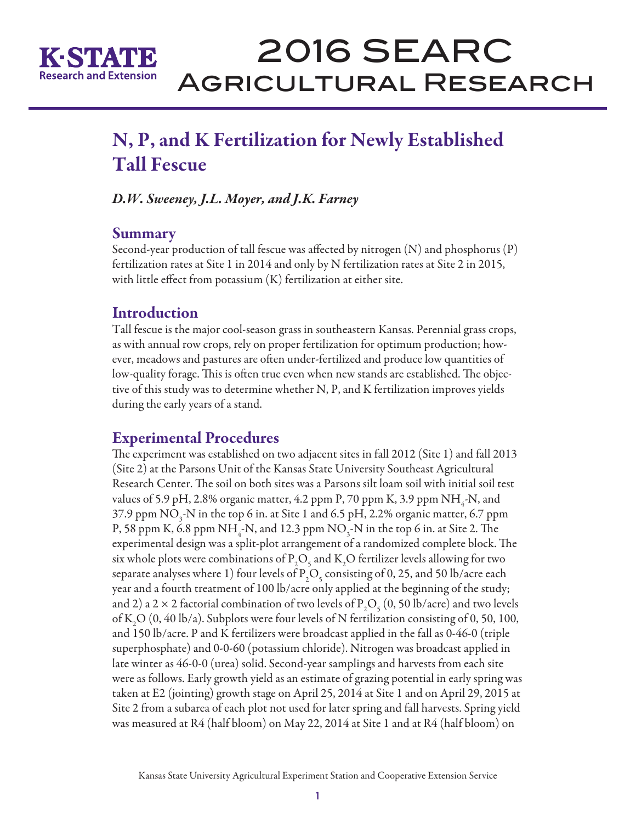

# N, P, and K Fertilization for Newly Established Tall Fescue

*D.W. Sweeney, J.L. Moyer, and J.K. Farney*

### Summary

Second-year production of tall fescue was affected by nitrogen (N) and phosphorus (P) fertilization rates at Site 1 in 2014 and only by N fertilization rates at Site 2 in 2015, with little effect from potassium (K) fertilization at either site.

## **Introduction**

Tall fescue is the major cool-season grass in southeastern Kansas. Perennial grass crops, as with annual row crops, rely on proper fertilization for optimum production; however, meadows and pastures are often under-fertilized and produce low quantities of low-quality forage. This is often true even when new stands are established. The objective of this study was to determine whether N, P, and K fertilization improves yields during the early years of a stand.

# Experimental Procedures

The experiment was established on two adjacent sites in fall 2012 (Site 1) and fall 2013 (Site 2) at the Parsons Unit of the Kansas State University Southeast Agricultural Research Center. The soil on both sites was a Parsons silt loam soil with initial soil test values of 5.9 pH, 2.8% organic matter, 4.2 ppm P, 70 ppm K, 3.9 ppm  $\rm NH_4\text{-}N,$  and 37.9 ppm  $\rm NO_3\text{-}N$  in the top 6 in. at Site 1 and 6.5 pH, 2.2% organic matter, 6.7 ppm P, 58 ppm K, 6.8 ppm  $NH_{4}$ -N, and 12.3 ppm  $NO_{3}$ -N in the top 6 in. at Site 2. The experimental design was a split-plot arrangement of a randomized complete block. The six whole plots were combinations of  $P_2O_5$  and  $K_2O$  fertilizer levels allowing for two separate analyses where 1) four levels of  $\rm P_2O_5$  consisting of 0, 25, and 50 lb/acre each year and a fourth treatment of 100 lb/acre only applied at the beginning of the study; and 2) a 2  $\times$  2 factorial combination of two levels of P<sub>2</sub>O<sub>5</sub> (0, 50 lb/acre) and two levels of K<sub>2</sub>O (0, 40 lb/a). Subplots were four levels of N fertilization consisting of 0, 50, 100, and 150 lb/acre. P and K fertilizers were broadcast applied in the fall as 0-46-0 (triple superphosphate) and 0-0-60 (potassium chloride). Nitrogen was broadcast applied in late winter as 46-0-0 (urea) solid. Second-year samplings and harvests from each site were as follows. Early growth yield as an estimate of grazing potential in early spring was taken at E2 (jointing) growth stage on April 25, 2014 at Site 1 and on April 29, 2015 at Site 2 from a subarea of each plot not used for later spring and fall harvests. Spring yield was measured at R4 (half bloom) on May 22, 2014 at Site 1 and at R4 (half bloom) on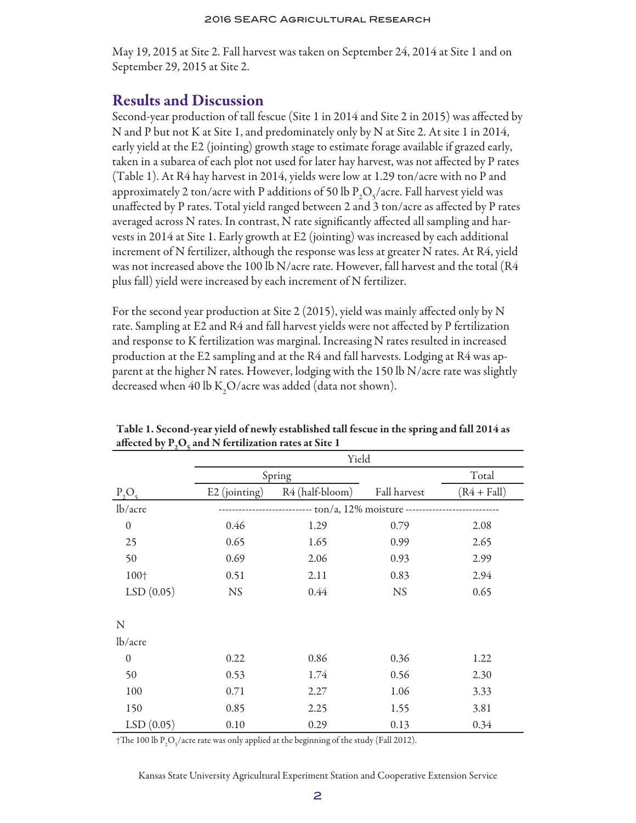May 19, 2015 at Site 2. Fall harvest was taken on September 24, 2014 at Site 1 and on September 29, 2015 at Site 2.

## Results and Discussion

Second-year production of tall fescue (Site 1 in 2014 and Site 2 in 2015) was affected by N and P but not K at Site 1, and predominately only by N at Site 2. At site 1 in 2014, early yield at the E2 (jointing) growth stage to estimate forage available if grazed early, taken in a subarea of each plot not used for later hay harvest, was not affected by P rates (Table 1). At R4 hay harvest in 2014, yields were low at 1.29 ton/acre with no P and approximately 2 ton/acre with P additions of 50 lb  $\rm P_2O_5/$ acre. Fall harvest yield was unaffected by P rates. Total yield ranged between 2 and 3 ton/acre as affected by P rates averaged across N rates. In contrast, N rate significantly affected all sampling and harvests in 2014 at Site 1. Early growth at E2 (jointing) was increased by each additional increment of N fertilizer, although the response was less at greater N rates. At R4, yield was not increased above the 100 lb N/acre rate. However, fall harvest and the total ( $R4$ plus fall) yield were increased by each increment of N fertilizer.

For the second year production at Site 2 (2015), yield was mainly affected only by N rate. Sampling at E2 and R4 and fall harvest yields were not affected by P fertilization and response to K fertilization was marginal. Increasing N rates resulted in increased production at the E2 sampling and at the R4 and fall harvests. Lodging at R4 was apparent at the higher N rates. However, lodging with the 150 lb N/acre rate was slightly decreased when 40 lb  $K_2O$ /acre was added (data not shown).

|              | Yield         |                 |              |               |  |  |  |
|--------------|---------------|-----------------|--------------|---------------|--|--|--|
|              |               | Spring          |              | Total         |  |  |  |
| $P_2O_5$     | E2 (jointing) | R4 (half-bloom) | Fall harvest | $(R4 + Fall)$ |  |  |  |
| lb/acre      |               |                 |              |               |  |  |  |
| $\mathbf{0}$ | 0.46          | 1.29            | 0.79         | 2.08          |  |  |  |
| 25           | 0.65          | 1.65            | 0.99         | 2.65          |  |  |  |
| 50           | 0.69          | 2.06            | 0.93         | 2.99          |  |  |  |
| 100+         | 0.51          | 2.11            | 0.83         | 2.94          |  |  |  |
| LSD(0.05)    | <b>NS</b>     | 0.44            | <b>NS</b>    | 0.65          |  |  |  |
| N            |               |                 |              |               |  |  |  |
| lb/acre      |               |                 |              |               |  |  |  |
| $\mathbf{0}$ | 0.22          | 0.86            | 0.36         | 1.22          |  |  |  |
| 50           | 0.53          | 1.74            | 0.56         | 2.30          |  |  |  |
| 100          | 0.71          | 2.27            | 1.06         | 3.33          |  |  |  |
| 150          | 0.85          | 2.25            | 1.55         | 3.81          |  |  |  |
| LSD(0.05)    | 0.10          | 0.29            | 0.13         | 0.34          |  |  |  |

Table 1. Second-year yield of newly established tall fescue in the spring and fall 2014 as affected by  $\text{P}_{\text{2}}\text{O}_{\text{s}}$  and N fertilization rates at Site 1

†The 100 lb P<sub>2</sub>O<sub>5</sub>/acre rate was only applied at the beginning of the study (Fall 2012).

Kansas State University Agricultural Experiment Station and Cooperative Extension Service